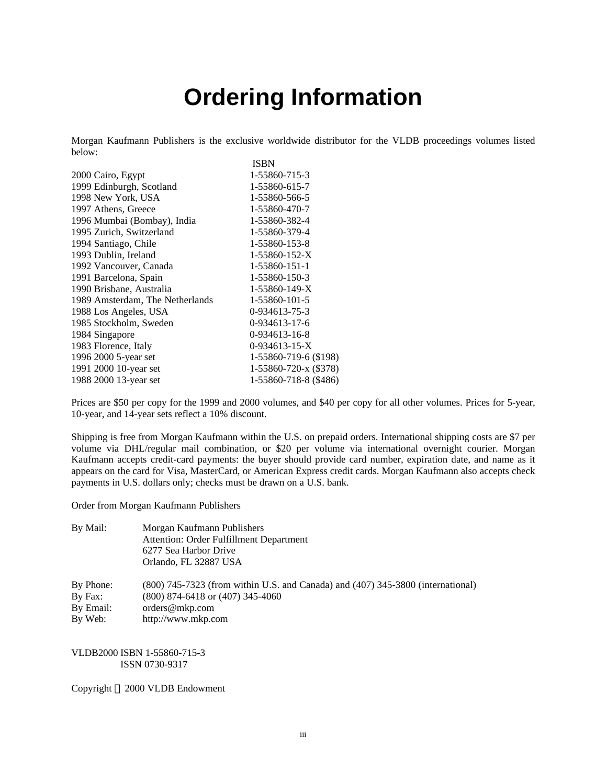## **Ordering Information**

Morgan Kaufmann Publishers is the exclusive worldwide distributor for the VLDB proceedings volumes listed below: ISBN

| 2000 Cairo, Egypt               | 1-55860-715-3         |
|---------------------------------|-----------------------|
| 1999 Edinburgh, Scotland        | 1-55860-615-7         |
| 1998 New York, USA              | 1-55860-566-5         |
| 1997 Athens, Greece             | 1-55860-470-7         |
| 1996 Mumbai (Bombay), India     | 1-55860-382-4         |
| 1995 Zurich, Switzerland        | 1-55860-379-4         |
| 1994 Santiago, Chile            | 1-55860-153-8         |
| 1993 Dublin, Ireland            | $1-55860-152-X$       |
| 1992 Vancouver, Canada          | 1-55860-151-1         |
| 1991 Barcelona, Spain           | 1-55860-150-3         |
| 1990 Brisbane, Australia        | $1-55860-149-X$       |
| 1989 Amsterdam, The Netherlands | 1-55860-101-5         |
| 1988 Los Angeles, USA           | 0-934613-75-3         |
| 1985 Stockholm, Sweden          | 0-934613-17-6         |
| 1984 Singapore                  | 0-934613-16-8         |
| 1983 Florence, Italy            | $0-934613-15-X$       |
| 1996 2000 5-year set            | 1-55860-719-6 (\$198) |
| 1991 2000 10-year set           | 1-55860-720-x (\$378) |
| 1988 2000 13-year set           | 1-55860-718-8 (\$486) |

Prices are \$50 per copy for the 1999 and 2000 volumes, and \$40 per copy for all other volumes. Prices for 5-year, 10-year, and 14-year sets reflect a 10% discount.

Shipping is free from Morgan Kaufmann within the U.S. on prepaid orders. International shipping costs are \$7 per volume via DHL/regular mail combination, or \$20 per volume via international overnight courier. Morgan Kaufmann accepts credit-card payments: the buyer should provide card number, expiration date, and name as it appears on the card for Visa, MasterCard, or American Express credit cards. Morgan Kaufmann also accepts check payments in U.S. dollars only; checks must be drawn on a U.S. bank.

Order from Morgan Kaufmann Publishers

| By Mail: | Morgan Kaufmann Publishers              |
|----------|-----------------------------------------|
|          | Attention: Order Fulfillment Department |
|          | 6277 Sea Harbor Drive                   |
|          | Orlando, FL 32887 USA                   |
|          |                                         |

By Phone: (800) 745-7323 (from within U.S. and Canada) and (407) 345-3800 (international)

By Fax: (800) 874-6418 or (407) 345-4060

By Email: orders@mkp.com

By Web: http://www.mkp.com

VLDB2000 ISBN 1-55860-715-3 ISSN 0730-9317

Copyright  $\odot$  2000 VLDB Endowment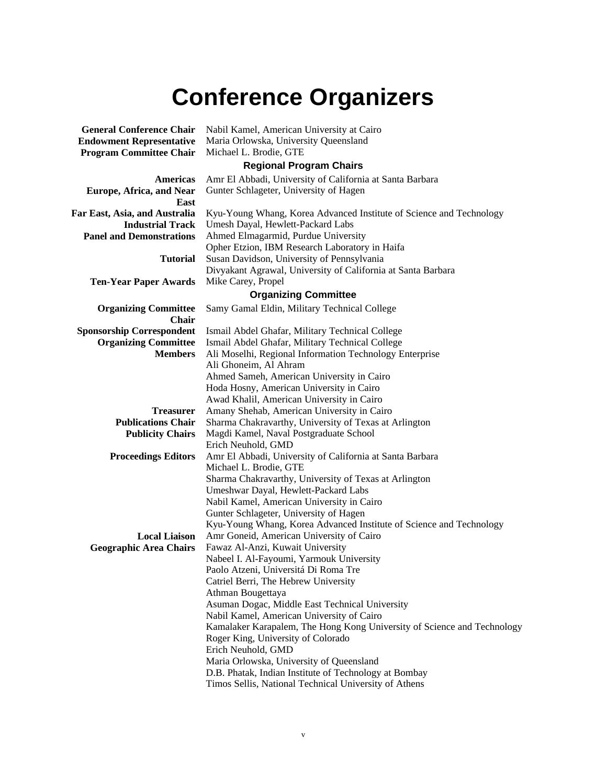# **Conference Organizers**

| <b>General Conference Chair</b>  | Nabil Kamel, American University at Cairo                               |  |
|----------------------------------|-------------------------------------------------------------------------|--|
| <b>Endowment Representative</b>  | Maria Orlowska, University Queensland                                   |  |
| <b>Program Committee Chair</b>   | Michael L. Brodie, GTE                                                  |  |
|                                  | <b>Regional Program Chairs</b>                                          |  |
| Americas                         | Amr El Abbadi, University of California at Santa Barbara                |  |
| <b>Europe, Africa, and Near</b>  | Gunter Schlageter, University of Hagen                                  |  |
| East                             |                                                                         |  |
| Far East, Asia, and Australia    | Kyu-Young Whang, Korea Advanced Institute of Science and Technology     |  |
| <b>Industrial Track</b>          | Umesh Dayal, Hewlett-Packard Labs                                       |  |
| <b>Panel and Demonstrations</b>  | Ahmed Elmagarmid, Purdue University                                     |  |
|                                  | Opher Etzion, IBM Research Laboratory in Haifa                          |  |
| <b>Tutorial</b>                  | Susan Davidson, University of Pennsylvania                              |  |
|                                  | Divyakant Agrawal, University of California at Santa Barbara            |  |
| <b>Ten-Year Paper Awards</b>     | Mike Carey, Propel                                                      |  |
|                                  | <b>Organizing Committee</b>                                             |  |
| <b>Organizing Committee</b>      | Samy Gamal Eldin, Military Technical College                            |  |
| <b>Chair</b>                     |                                                                         |  |
| <b>Sponsorship Correspondent</b> | Ismail Abdel Ghafar, Military Technical College                         |  |
| <b>Organizing Committee</b>      | Ismail Abdel Ghafar, Military Technical College                         |  |
| <b>Members</b>                   | Ali Moselhi, Regional Information Technology Enterprise                 |  |
|                                  | Ali Ghoneim, Al Ahram                                                   |  |
|                                  | Ahmed Sameh, American University in Cairo                               |  |
|                                  | Hoda Hosny, American University in Cairo                                |  |
|                                  | Awad Khalil, American University in Cairo                               |  |
| <b>Treasurer</b>                 | Amany Shehab, American University in Cairo                              |  |
| <b>Publications Chair</b>        | Sharma Chakravarthy, University of Texas at Arlington                   |  |
| <b>Publicity Chairs</b>          | Magdi Kamel, Naval Postgraduate School                                  |  |
|                                  | Erich Neuhold, GMD                                                      |  |
| <b>Proceedings Editors</b>       | Amr El Abbadi, University of California at Santa Barbara                |  |
|                                  | Michael L. Brodie, GTE                                                  |  |
|                                  | Sharma Chakravarthy, University of Texas at Arlington                   |  |
|                                  | Umeshwar Dayal, Hewlett-Packard Labs                                    |  |
|                                  | Nabil Kamel, American University in Cairo                               |  |
|                                  | Gunter Schlageter, University of Hagen                                  |  |
|                                  | Kyu-Young Whang, Korea Advanced Institute of Science and Technology     |  |
| <b>Local Liaison</b>             | Amr Goneid, American University of Cairo                                |  |
| <b>Geographic Area Chairs</b>    | Fawaz Al-Anzi, Kuwait University                                        |  |
|                                  | Nabeel I. Al-Fayoumi, Yarmouk University                                |  |
|                                  | Paolo Atzeni, Universitá Di Roma Tre                                    |  |
|                                  | Catriel Berri, The Hebrew University                                    |  |
|                                  | Athman Bougettaya                                                       |  |
|                                  | Asuman Dogac, Middle East Technical University                          |  |
|                                  | Nabil Kamel, American University of Cairo                               |  |
|                                  | Kamalaker Karapalem, The Hong Kong University of Science and Technology |  |
|                                  | Roger King, University of Colorado                                      |  |
|                                  | Erich Neuhold, GMD                                                      |  |
|                                  | Maria Orlowska, University of Queensland                                |  |
|                                  | D.B. Phatak, Indian Institute of Technology at Bombay                   |  |
|                                  | Timos Sellis, National Technical University of Athens                   |  |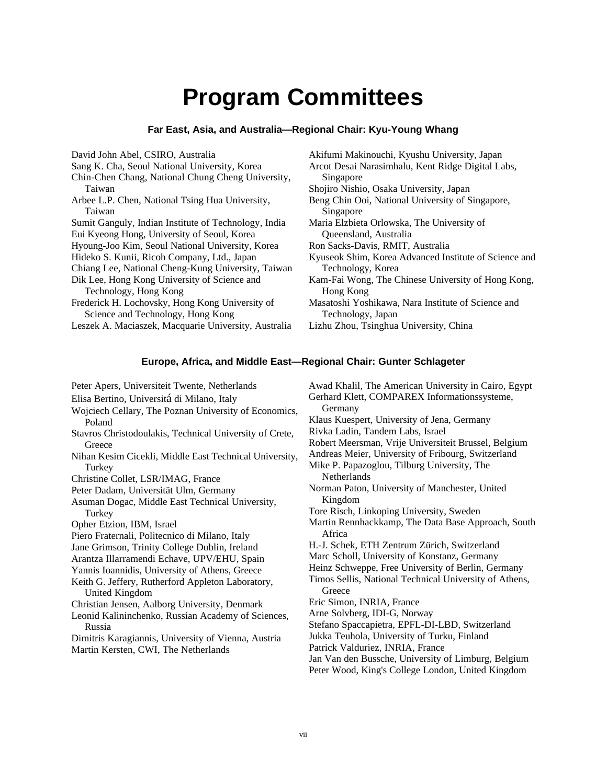### **Program Committees**

### **Far East, Asia, and Australia—Regional Chair: Kyu-Young Whang**

David John Abel, CSIRO, Australia Sang K. Cha, Seoul National University, Korea Chin-Chen Chang, National Chung Cheng University, Taiwan Arbee L.P. Chen, National Tsing Hua University, Taiwan Sumit Ganguly, Indian Institute of Technology, India Eui Kyeong Hong, University of Seoul, Korea Hyoung-Joo Kim, Seoul National University, Korea Hideko S. Kunii, Ricoh Company, Ltd., Japan Chiang Lee, National Cheng-Kung University, Taiwan Dik Lee, Hong Kong University of Science and Technology, Hong Kong Frederick H. Lochovsky, Hong Kong University of Science and Technology, Hong Kong Leszek A. Maciaszek, Macquarie University, Australia

Akifumi Makinouchi, Kyushu University, Japan Arcot Desai Narasimhalu, Kent Ridge Digital Labs, Singapore Shojiro Nishio, Osaka University, Japan Beng Chin Ooi, National University of Singapore, Singapore Maria Elzbieta Orlowska, The University of Queensland, Australia Ron Sacks-Davis, RMIT, Australia Kyuseok Shim, Korea Advanced Institute of Science and Technology, Korea Kam-Fai Wong, The Chinese University of Hong Kong, Hong Kong Masatoshi Yoshikawa, Nara Institute of Science and Technology, Japan Lizhu Zhou, Tsinghua University, China

### **Europe, Africa, and Middle East—Regional Chair: Gunter Schlageter**

Peter Apers, Universiteit Twente, Netherlands Elisa Bertino, Universitá di Milano, Italy Wojciech Cellary, The Poznan University of Economics, Poland Stavros Christodoulakis, Technical University of Crete, **Greece** Nihan Kesim Cicekli, Middle East Technical University, Turkey Christine Collet, LSR/IMAG, France Peter Dadam, Universität Ulm, Germany Asuman Dogac, Middle East Technical University, Turkey Opher Etzion, IBM, Israel Piero Fraternali, Politecnico di Milano, Italy Jane Grimson, Trinity College Dublin, Ireland Arantza Illarramendi Echave, UPV/EHU, Spain Yannis Ioannidis, University of Athens, Greece Keith G. Jeffery, Rutherford Appleton Laboratory, United Kingdom Christian Jensen, Aalborg University, Denmark Leonid Kalininchenko, Russian Academy of Sciences, Russia Dimitris Karagiannis, University of Vienna, Austria Martin Kersten, CWI, The Netherlands Awad Khalil, The American University in Cairo, Egypt Gerhard Klett, COMPAREX Informationssysteme, Germany Klaus Kuespert, University of Jena, Germany Rivka Ladin, Tandem Labs, Israel Robert Meersman, Vrije Universiteit Brussel, Belgium Andreas Meier, University of Fribourg, Switzerland Mike P. Papazoglou, Tilburg University, The Netherlands Norman Paton, University of Manchester, United Kingdom Tore Risch, Linkoping University, Sweden Martin Rennhackkamp, The Data Base Approach, South Africa H.-J. Schek, ETH Zentrum Zürich, Switzerland Marc Scholl, University of Konstanz, Germany Heinz Schweppe, Free University of Berlin, Germany Timos Sellis, National Technical University of Athens, **Greece** Eric Simon, INRIA, France Arne Solvberg, IDI-G, Norway Stefano Spaccapietra, EPFL-DI-LBD, Switzerland Jukka Teuhola, University of Turku, Finland Patrick Valduriez, INRIA, France Jan Van den Bussche, University of Limburg, Belgium Peter Wood, King's College London, United Kingdom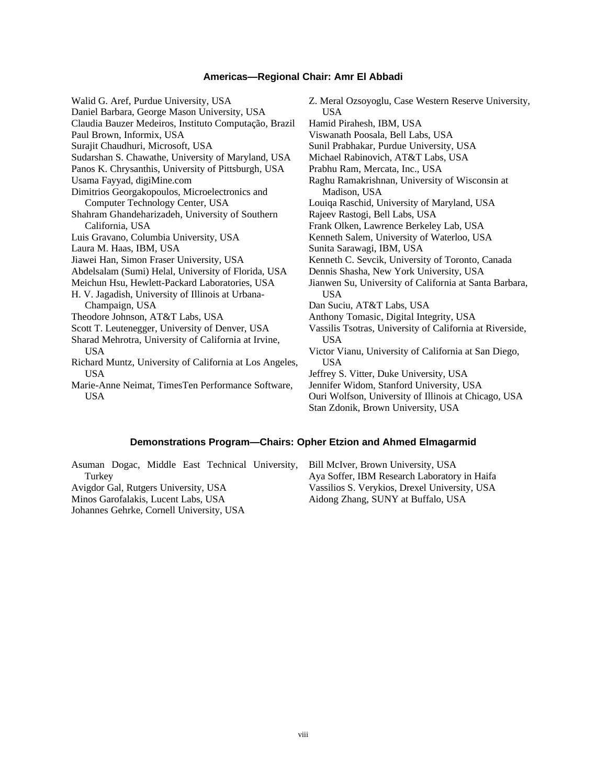#### **Americas—Regional Chair: Amr El Abbadi**

Walid G. Aref, Purdue University, USA Daniel Barbara, George Mason University, USA Claudia Bauzer Medeiros, Instituto Computação, Brazil Paul Brown, Informix, USA Surajit Chaudhuri, Microsoft, USA Sudarshan S. Chawathe, University of Maryland, USA Panos K. Chrysanthis, University of Pittsburgh, USA Usama Fayyad, digiMine.com Dimitrios Georgakopoulos, Microelectronics and Computer Technology Center, USA Shahram Ghandeharizadeh, University of Southern California, USA Luis Gravano, Columbia University, USA Laura M. Haas, IBM, USA Jiawei Han, Simon Fraser University, USA Abdelsalam (Sumi) Helal, University of Florida, USA Meichun Hsu, Hewlett-Packard Laboratories, USA H. V. Jagadish, University of Illinois at Urbana-Champaign, USA Theodore Johnson, AT&T Labs, USA Scott T. Leutenegger, University of Denver, USA Sharad Mehrotra, University of California at Irvine, USA Richard Muntz, University of California at Los Angeles, USA Marie-Anne Neimat, TimesTen Performance Software, USA USA Madison, USA USA USA USA

Z. Meral Ozsoyoglu, Case Western Reserve University, Hamid Pirahesh, IBM, USA Viswanath Poosala, Bell Labs, USA Sunil Prabhakar, Purdue University, USA Michael Rabinovich, AT&T Labs, USA Prabhu Ram, Mercata, Inc., USA Raghu Ramakrishnan, University of Wisconsin at Louiqa Raschid, University of Maryland, USA Rajeev Rastogi, Bell Labs, USA Frank Olken, Lawrence Berkeley Lab, USA Kenneth Salem, University of Waterloo, USA Sunita Sarawagi, IBM, USA Kenneth C. Sevcik, University of Toronto, Canada Dennis Shasha, New York University, USA Jianwen Su, University of California at Santa Barbara, Dan Suciu, AT&T Labs, USA Anthony Tomasic, Digital Integrity, USA Vassilis Tsotras, University of California at Riverside, Victor Vianu, University of California at San Diego, Jeffrey S. Vitter, Duke University, USA Jennifer Widom, Stanford University, USA Ouri Wolfson, University of Illinois at Chicago, USA Stan Zdonik, Brown University, USA

#### **Demonstrations Program—Chairs: Opher Etzion and Ahmed Elmagarmid**

Asuman Dogac, Middle East Technical University, Turkey Avigdor Gal, Rutgers University, USA Minos Garofalakis, Lucent Labs, USA Johannes Gehrke, Cornell University, USA

Bill McIver, Brown University, USA Aya Soffer, IBM Research Laboratory in Haifa Vassilios S. Verykios, Drexel University, USA Aidong Zhang, SUNY at Buffalo, USA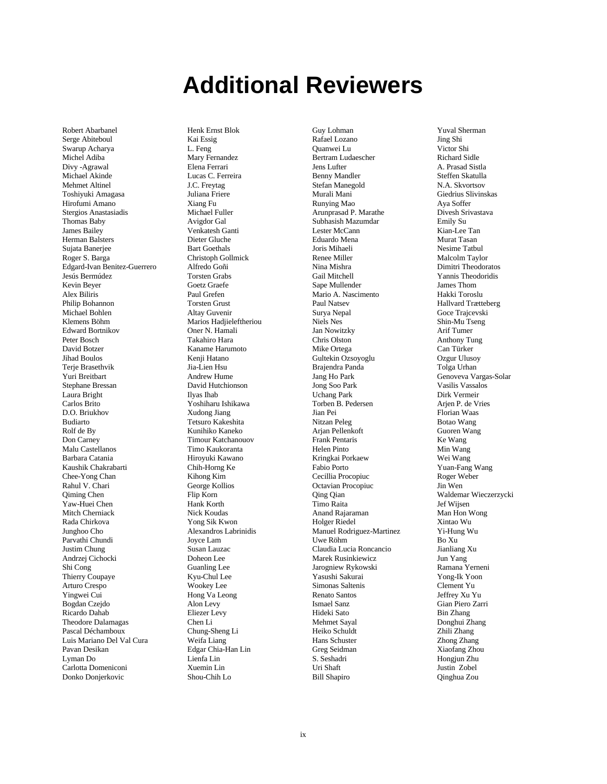### **Additional Reviewers**

Robert Abarbanel Serge Abiteboul Swarup Acharya Michel Adiba Divy -Agrawal Michael Akinde Mehmet Altinel Toshiyuki Amagasa Hirofumi Amano Stergios Anastasiadis Thomas Baby James Bailey Herman Balsters Sujata Banerjee Roger S. Barga Edgard-Ivan Benitez-Guerrero Jesús Bermúdez Kevin Beyer Alex Biliris Philip Bohannon Michael Bohlen Klemens Böhm Edward Bortnikov Peter Bosch David Botzer Jihad Boulos Terie Brasethvik Yuri Breitbart Stephane Bressan Laura Bright Carlos Brito D.O. Briukhov Budiarto Rolf de By Don Carney Malu Castellanos Barbara Catania Kaushik Chakrabarti Chee-Yong Chan Rahul V. Chari Qiming Chen Yaw-Huei Chen Mitch Cherniack Rada Chirkova Junghoo Cho Parvathi Chundi Justim Chung Andrzej Cichocki Shi Cong Thierry Coupaye Arturo Crespo Yingwei Cui Bogdan Czejdo Ricardo Dahab Theodore Dalamagas Pascal Déchamboux Luis Mariano Del Val Cura Pavan Desikan Lyman Do Carlotta Domeniconi Donko Donjerkovic

Henk Ernst Blok Kai Essig L. Feng Mary Fernandez Elena Ferrari Lucas C. Ferreira J.C. Freytag Juliana Friere Xiang Fu Michael Fuller Avigdor Gal Venkatesh Ganti Dieter Gluche Bart Goethals Christoph Gollmick Alfredo Goñi Torsten Grabs Goetz Graefe Paul Grefen Torsten Grust Altay Guvenir Marios Hadjieleftheriou Oner N. Hamali Takahiro Hara Kaname Harumoto Kenji Hatano Jia-Lien Hsu Andrew Hume David Hutchionson Ilyas Ihab Yoshiharu Ishikawa Xudong Jiang Tetsuro Kakeshita Kunihiko Kaneko Timour Katchanouov Timo Kaukoranta Hiroyuki Kawano Chih-Horng Ke Kihong Kim George Kollios Flip Korn Hank Korth Nick Koudas Yong Sik Kwon Alexandros Labrinidis Joyce Lam Susan Lauzac Doheon Lee Guanling Lee Kyu-Chul Lee Wookey Lee Hong Va Leong Alon Levy Eliezer Levy Chen Li Chung-Sheng Li Weifa Liang Edgar Chia-Han Lin Lienfa Lin Xuemin Lin Shou-Chih Lo

Guy Lohman Rafael Lozano Quanwei Lu Bertram Ludaescher Jens Lufter Benny Mandler Stefan Manegold Murali Mani Runying Mao Arunprasad P. Marathe Subhasish Mazumdar Lester McCann Eduardo Mena Joris Mihaeli Renee Miller Nina Mishra Gail Mitchell Sape Mullender Mario A. Nascimento Paul Natsev Surya Nepal Niels Nes Jan Nowitzky Chris Olston Mike Ortega Gultekin Ozsoyoglu Brajendra Panda Jang Ho Park Jong Soo Park Uchang Park Torben B. Pedersen Jian Pei Nitzan Peleg Arjan Pellenkoft Frank Pentaris Helen Pinto Kringkai Porkaew Fabio Porto Cecillia Procopiuc Octavian Procopiuc Qing Qian Timo Raita Anand Rajaraman Holger Riedel Manuel Rodriguez-Martinez Uwe Röhm Claudia Lucia Roncancio Marek Rusinkiewicz Jarogniew Rykowski Yasushi Sakurai Simonas Saltenis Renato Santos Ismael Sanz Hideki Sato Mehmet Sayal Heiko Schuldt Hans Schuster Greg Seidman S. Seshadri Uri Shaft

Yuval Sherman Jing Shi Victor Shi Richard Sidle A. Prasad Sistla Steffen Skatulla N.A. Skvortsov Giedrius Slivinskas Aya Soffer Divesh Srivastava Emily Su Kian-Lee Tan Murat Tasan Nesime Tatbul Malcolm Taylor Dimitri Theodoratos Yannis Theodoridis James Thom Hakki Toroslu Hallvard Trætteberg Goce Trajcevski Shin-Mu Tseng Arif Tumer Anthony Tung Can Türker Ozgur Ulusoy Tolga Urhan Genoveva Vargas-Solar Vasilis Vassalos Dirk Vermeir Arjen P. de Vries Florian Waas Botao Wang Guoren Wang Ke Wang Min Wang Wei Wang Yuan-Fang Wang Roger Weber Jin Wen Waldemar Wieczerzycki Jef Wijsen Man Hon Wong Xintao Wu Yi-Hung Wu Bo Xu Jianliang Xu Jun Yang Ramana Yerneni Yong-Ik Yoon Clement Yu Jeffrey Xu Yu Gian Piero Zarri Bin Zhang Donghui Zhang Zhili Zhang Zhong Zhang Xiaofang Zhou Hongjun Zhu Justin Zobel Qinghua Zou

Bill Shapiro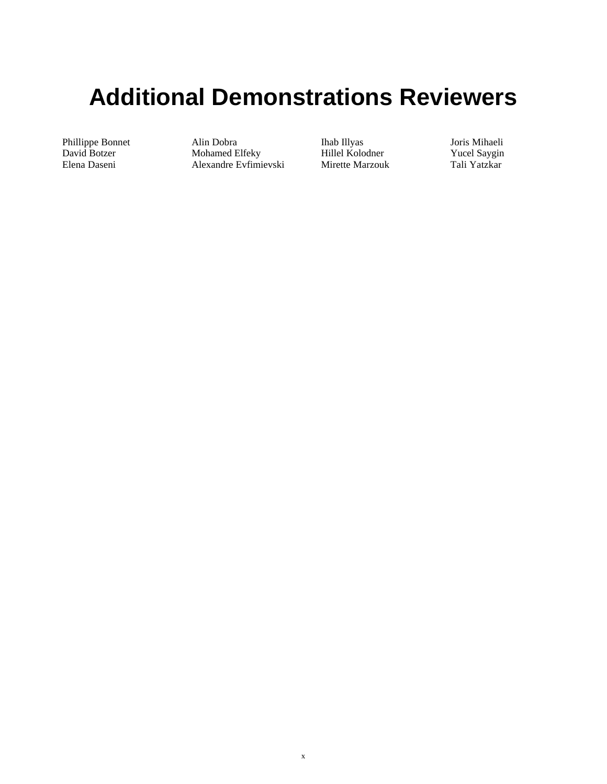## **Additional Demonstrations Reviewers**

Phillippe Bonnet David Botzer Elena Daseni

Alin Dobra Mohamed Elfeky Alexandre Evfimievski Ihab Illyas Hillel Kolodner Mirette Marzouk Joris Mihaeli Yucel Saygin Tali Yatzkar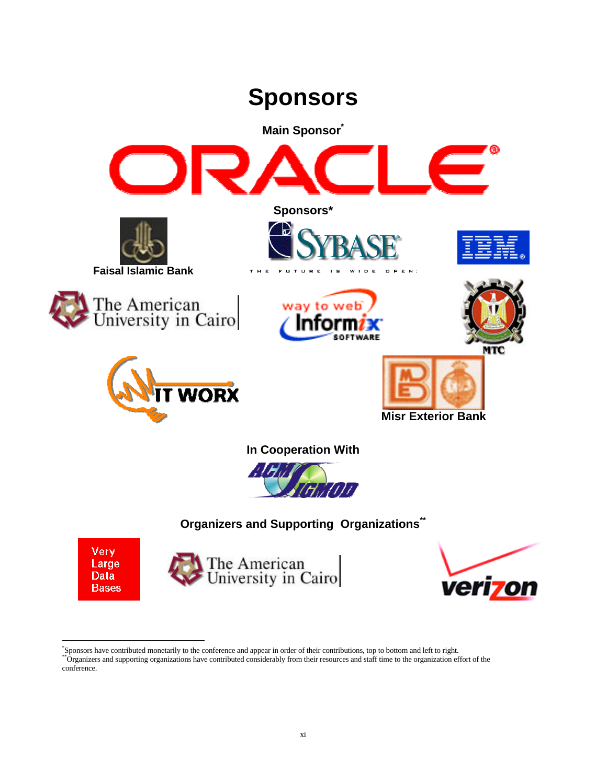



The American<br>University in Cairo



-<br>"Sponsors have contributed monetarily to the conference and appear in order of their contributions, top to bottom and left to right.<br>""Organizers and supporting organizations have contributed considerably from their reso conference.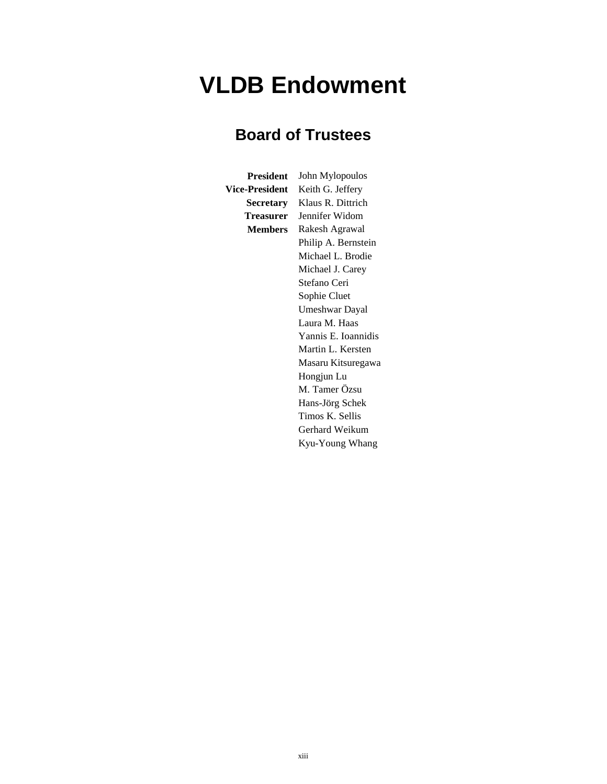### **VLDB Endowment**

### **Board of Trustees**

**President** John Mylopoulos **Vice-President** Keith G. Jeffery **Secretary** Klaus R. Dittrich **Treasurer** Jennifer Widom **Members** Rakesh Agrawal Philip A. Bernstein Michael L. Brodie Michael J. Carey Stefano Ceri Sophie Cluet Umeshwar Dayal Laura M. Haas Yannis E. Ioannidis Martin L. Kersten Masaru Kitsuregawa Hongjun Lu M. Tamer Özsu Hans-Jörg Schek Timos K. Sellis Gerhard Weikum Kyu-Young Whang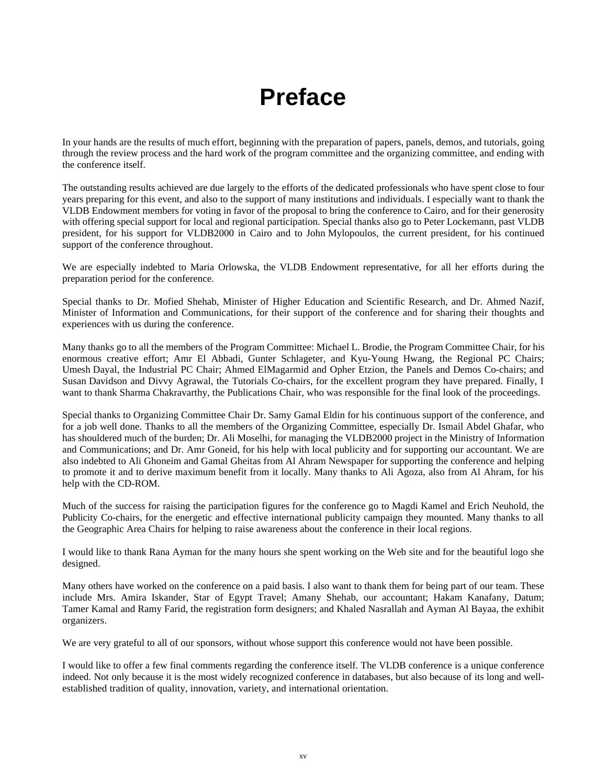## **Preface**

In your hands are the results of much effort, beginning with the preparation of papers, panels, demos, and tutorials, going through the review process and the hard work of the program committee and the organizing committee, and ending with the conference itself.

The outstanding results achieved are due largely to the efforts of the dedicated professionals who have spent close to four years preparing for this event, and also to the support of many institutions and individuals. I especially want to thank the VLDB Endowment members for voting in favor of the proposal to bring the conference to Cairo, and for their generosity with offering special support for local and regional participation. Special thanks also go to Peter Lockemann, past VLDB president, for his support for VLDB2000 in Cairo and to John Mylopoulos, the current president, for his continued support of the conference throughout.

We are especially indebted to Maria Orlowska, the VLDB Endowment representative, for all her efforts during the preparation period for the conference.

Special thanks to Dr. Mofied Shehab, Minister of Higher Education and Scientific Research, and Dr. Ahmed Nazif, Minister of Information and Communications, for their support of the conference and for sharing their thoughts and experiences with us during the conference.

Many thanks go to all the members of the Program Committee: Michael L. Brodie, the Program Committee Chair, for his enormous creative effort; Amr El Abbadi, Gunter Schlageter, and Kyu-Young Hwang, the Regional PC Chairs; Umesh Dayal, the Industrial PC Chair; Ahmed ElMagarmid and Opher Etzion, the Panels and Demos Co-chairs; and Susan Davidson and Divvy Agrawal, the Tutorials Co-chairs, for the excellent program they have prepared. Finally, I want to thank Sharma Chakravarthy, the Publications Chair, who was responsible for the final look of the proceedings.

Special thanks to Organizing Committee Chair Dr. Samy Gamal Eldin for his continuous support of the conference, and for a job well done. Thanks to all the members of the Organizing Committee, especially Dr. Ismail Abdel Ghafar, who has shouldered much of the burden; Dr. Ali Moselhi, for managing the VLDB2000 project in the Ministry of Information and Communications; and Dr. Amr Goneid, for his help with local publicity and for supporting our accountant. We are also indebted to Ali Ghoneim and Gamal Gheitas from Al Ahram Newspaper for supporting the conference and helping to promote it and to derive maximum benefit from it locally. Many thanks to Ali Agoza, also from Al Ahram, for his help with the CD-ROM.

Much of the success for raising the participation figures for the conference go to Magdi Kamel and Erich Neuhold, the Publicity Co-chairs, for the energetic and effective international publicity campaign they mounted. Many thanks to all the Geographic Area Chairs for helping to raise awareness about the conference in their local regions.

I would like to thank Rana Ayman for the many hours she spent working on the Web site and for the beautiful logo she designed.

Many others have worked on the conference on a paid basis. I also want to thank them for being part of our team. These include Mrs. Amira Iskander, Star of Egypt Travel; Amany Shehab, our accountant; Hakam Kanafany, Datum; Tamer Kamal and Ramy Farid, the registration form designers; and Khaled Nasrallah and Ayman Al Bayaa, the exhibit organizers.

We are very grateful to all of our sponsors, without whose support this conference would not have been possible.

I would like to offer a few final comments regarding the conference itself. The VLDB conference is a unique conference indeed. Not only because it is the most widely recognized conference in databases, but also because of its long and wellestablished tradition of quality, innovation, variety, and international orientation.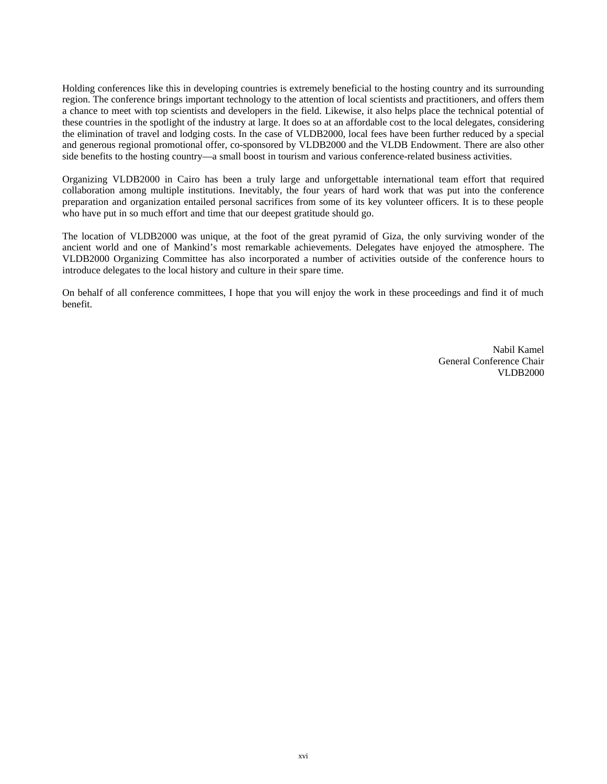Holding conferences like this in developing countries is extremely beneficial to the hosting country and its surrounding region. The conference brings important technology to the attention of local scientists and practitioners, and offers them a chance to meet with top scientists and developers in the field. Likewise, it also helps place the technical potential of these countries in the spotlight of the industry at large. It does so at an affordable cost to the local delegates, considering the elimination of travel and lodging costs. In the case of VLDB2000, local fees have been further reduced by a special and generous regional promotional offer, co-sponsored by VLDB2000 and the VLDB Endowment. There are also other side benefits to the hosting country—a small boost in tourism and various conference-related business activities.

Organizing VLDB2000 in Cairo has been a truly large and unforgettable international team effort that required collaboration among multiple institutions. Inevitably, the four years of hard work that was put into the conference preparation and organization entailed personal sacrifices from some of its key volunteer officers. It is to these people who have put in so much effort and time that our deepest gratitude should go.

The location of VLDB2000 was unique, at the foot of the great pyramid of Giza, the only surviving wonder of the ancient world and one of Mankind's most remarkable achievements. Delegates have enjoyed the atmosphere. The VLDB2000 Organizing Committee has also incorporated a number of activities outside of the conference hours to introduce delegates to the local history and culture in their spare time.

On behalf of all conference committees, I hope that you will enjoy the work in these proceedings and find it of much benefit.

> Nabil Kamel General Conference Chair VLDB2000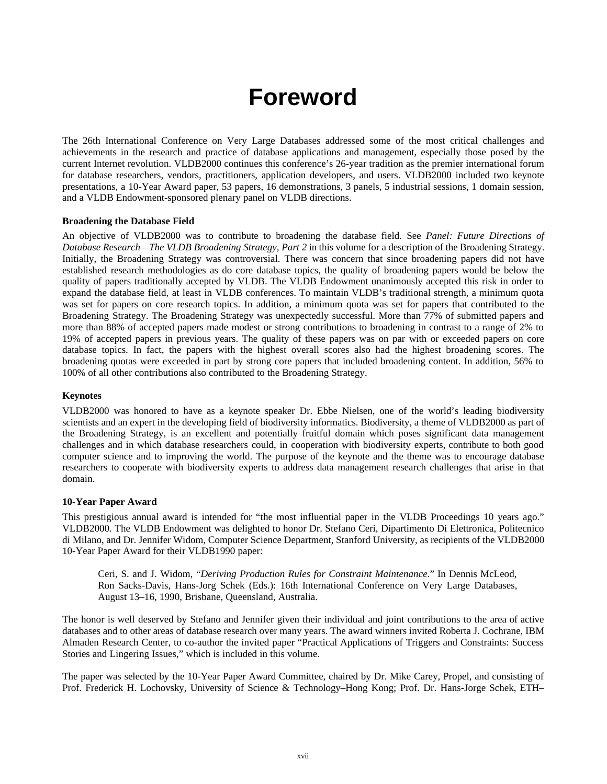### **Foreword**

The 26th International Conference on Very Large Databases addressed some of the most critical challenges and achievements in the research and practice of database applications and management, especially those posed by the current Internet revolution. VLDB2000 continues this conference's 26-year tradition as the premier international forum for database researchers, vendors, practitioners, application developers, and users. VLDB2000 included two keynote presentations, a 10-Year Award paper, 53 papers, 16 demonstrations, 3 panels, 5 industrial sessions, 1 domain session, and a VLDB Endowment-sponsored plenary panel on VLDB directions.

### **Broadening the Database Field**

An objective of VLDB2000 was to contribute to broadening the database field. See *Panel: Future Directions of Database Research—The VLDB Broadening Strategy, Part 2* in this volume for a description of the Broadening Strategy. Initially, the Broadening Strategy was controversial. There was concern that since broadening papers did not have established research methodologies as do core database topics, the quality of broadening papers would be below the quality of papers traditionally accepted by VLDB. The VLDB Endowment unanimously accepted this risk in order to expand the database field, at least in VLDB conferences. To maintain VLDB's traditional strength, a minimum quota was set for papers on core research topics. In addition, a minimum quota was set for papers that contributed to the Broadening Strategy. The Broadening Strategy was unexpectedly successful. More than 77% of submitted papers and more than 88% of accepted papers made modest or strong contributions to broadening in contrast to a range of 2% to 19% of accepted papers in previous years. The quality of these papers was on par with or exceeded papers on core database topics. In fact, the papers with the highest overall scores also had the highest broadening scores. The broadening quotas were exceeded in part by strong core papers that included broadening content. In addition, 56% to 100% of all other contributions also contributed to the Broadening Strategy.

### **Keynotes**

VLDB2000 was honored to have as a keynote speaker Dr. Ebbe Nielsen, one of the world's leading biodiversity scientists and an expert in the developing field of biodiversity informatics. Biodiversity, a theme of VLDB2000 as part of the Broadening Strategy, is an excellent and potentially fruitful domain which poses significant data management challenges and in which database researchers could, in cooperation with biodiversity experts, contribute to both good computer science and to improving the world. The purpose of the keynote and the theme was to encourage database researchers to cooperate with biodiversity experts to address data management research challenges that arise in that domain.

### **10-Year Paper Award**

This prestigious annual award is intended for "the most influential paper in the VLDB Proceedings 10 years ago." VLDB2000. The VLDB Endowment was delighted to honor Dr. Stefano Ceri, Dipartimento Di Elettronica, Politecnico di Milano, and Dr. Jennifer Widom, Computer Science Department, Stanford University, as recipients of the VLDB2000 10-Year Paper Award for their VLDB1990 paper:

Ceri, S. and J. Widom, "*Deriving Production Rules for Constraint Maintenance*." In Dennis McLeod, Ron Sacks-Davis, Hans-Jorg Schek (Eds.): 16th International Conference on Very Large Databases, August 13–16, 1990, Brisbane, Queensland, Australia.

The honor is well deserved by Stefano and Jennifer given their individual and joint contributions to the area of active databases and to other areas of database research over many years. The award winners invited Roberta J. Cochrane, IBM Almaden Research Center, to co-author the invited paper "Practical Applications of Triggers and Constraints: Success Stories and Lingering Issues," which is included in this volume.

The paper was selected by the 10-Year Paper Award Committee, chaired by Dr. Mike Carey, Propel, and consisting of Prof. Frederick H. Lochovsky, University of Science & Technology–Hong Kong; Prof. Dr. Hans-Jorge Schek, ETH–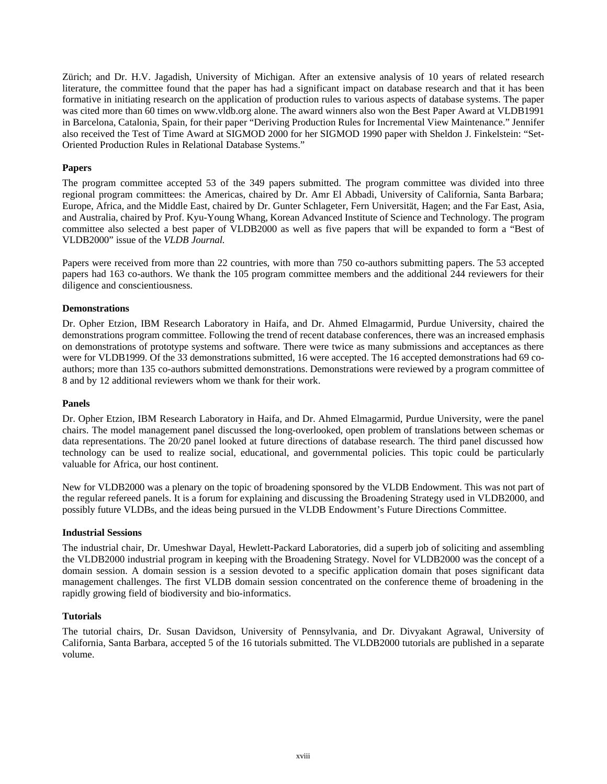Zürich; and Dr. H.V. Jagadish, University of Michigan. After an extensive analysis of 10 years of related research literature, the committee found that the paper has had a significant impact on database research and that it has been formative in initiating research on the application of production rules to various aspects of database systems. The paper was cited more than 60 times on www.vldb.org alone. The award winners also won the Best Paper Award at VLDB1991 in Barcelona, Catalonia, Spain, for their paper "Deriving Production Rules for Incremental View Maintenance." Jennifer also received the Test of Time Award at SIGMOD 2000 for her SIGMOD 1990 paper with Sheldon J. Finkelstein: "Set-Oriented Production Rules in Relational Database Systems."

### **Papers**

The program committee accepted 53 of the 349 papers submitted. The program committee was divided into three regional program committees: the Americas, chaired by Dr. Amr El Abbadi, University of California, Santa Barbara; Europe, Africa, and the Middle East, chaired by Dr. Gunter Schlageter, Fern Universität, Hagen; and the Far East, Asia, and Australia, chaired by Prof. Kyu-Young Whang, Korean Advanced Institute of Science and Technology. The program committee also selected a best paper of VLDB2000 as well as five papers that will be expanded to form a "Best of VLDB2000" issue of the *VLDB Journal.*

Papers were received from more than 22 countries, with more than 750 co-authors submitting papers. The 53 accepted papers had 163 co-authors. We thank the 105 program committee members and the additional 244 reviewers for their diligence and conscientiousness.

### **Demonstrations**

Dr. Opher Etzion, IBM Research Laboratory in Haifa, and Dr. Ahmed Elmagarmid, Purdue University, chaired the demonstrations program committee. Following the trend of recent database conferences, there was an increased emphasis on demonstrations of prototype systems and software. There were twice as many submissions and acceptances as there were for VLDB1999. Of the 33 demonstrations submitted, 16 were accepted. The 16 accepted demonstrations had 69 coauthors; more than 135 co-authors submitted demonstrations. Demonstrations were reviewed by a program committee of 8 and by 12 additional reviewers whom we thank for their work.

### **Panels**

Dr. Opher Etzion, IBM Research Laboratory in Haifa, and Dr. Ahmed Elmagarmid, Purdue University, were the panel chairs. The model management panel discussed the long-overlooked, open problem of translations between schemas or data representations. The 20/20 panel looked at future directions of database research. The third panel discussed how technology can be used to realize social, educational, and governmental policies. This topic could be particularly valuable for Africa, our host continent.

New for VLDB2000 was a plenary on the topic of broadening sponsored by the VLDB Endowment. This was not part of the regular refereed panels. It is a forum for explaining and discussing the Broadening Strategy used in VLDB2000, and possibly future VLDBs, and the ideas being pursued in the VLDB Endowment's Future Directions Committee.

### **Industrial Sessions**

The industrial chair, Dr. Umeshwar Dayal, Hewlett-Packard Laboratories, did a superb job of soliciting and assembling the VLDB2000 industrial program in keeping with the Broadening Strategy. Novel for VLDB2000 was the concept of a domain session. A domain session is a session devoted to a specific application domain that poses significant data management challenges. The first VLDB domain session concentrated on the conference theme of broadening in the rapidly growing field of biodiversity and bio-informatics.

### **Tutorials**

The tutorial chairs, Dr. Susan Davidson, University of Pennsylvania, and Dr. Divyakant Agrawal, University of California, Santa Barbara, accepted 5 of the 16 tutorials submitted. The VLDB2000 tutorials are published in a separate volume.